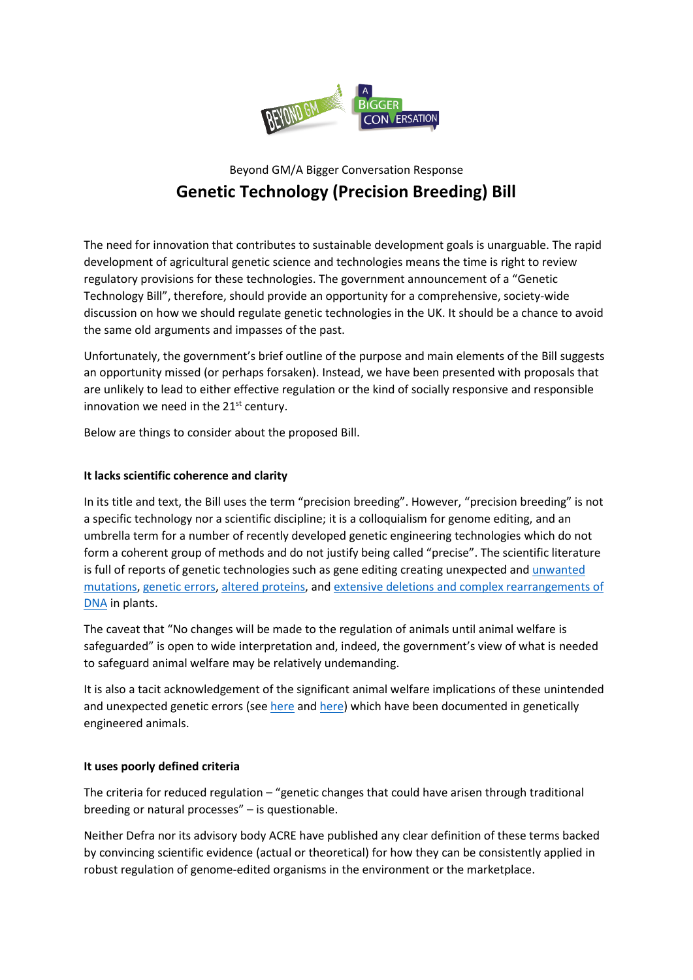

# Beyond GM/A Bigger Conversation Response **Genetic Technology (Precision Breeding) Bill**

The need for innovation that contributes to sustainable development goals is unarguable. The rapid development of agricultural genetic science and technologies means the time is right to review regulatory provisions for these technologies. The government announcement of a "Genetic Technology Bill", therefore, should provide an opportunity for a comprehensive, society-wide discussion on how we should regulate genetic technologies in the UK. It should be a chance to avoid the same old arguments and impasses of the past.

Unfortunately, the government's brief outline of the purpose and main elements of the Bill suggests an opportunity missed (or perhaps forsaken). Instead, we have been presented with proposals that are unlikely to lead to either effective regulation or the kind of socially responsive and responsible innovation we need in the  $21<sup>st</sup>$  century.

Below are things to consider about the proposed Bill.

### **It lacks scientific coherence and clarity**

In its title and text, the Bill uses the term "precision breeding". However, "precision breeding" is not a specific technology nor a scientific discipline; it is a colloquialism for genome editing, and an umbrella term for a number of recently developed genetic engineering technologies which do not form a coherent group of methods and do not justify being called "precise". The scientific literature is full of reports of genetic technologies such as gene editing creating unexpected and unwanted [mutations,](https://www.nature.com/articles/s41467-019-12028-5) [genetic errors,](https://enveurope.springeropen.com/articles/10.1186/s12302-020-00361-2) [altered proteins,](https://ctajournal.biomedcentral.com/articles/10.1186/2045-7022-4-11) an[d extensive deletions and complex rearrangements of](https://www.nature.com/articles/nbt.4192)  [DNA](https://www.nature.com/articles/nbt.4192) in plants.

The caveat that "No changes will be made to the regulation of animals until animal welfare is safeguarded" is open to wide interpretation and, indeed, the government's view of what is needed to safeguard animal welfare may be relatively undemanding.

It is also a tacit acknowledgement of the significant animal welfare implications of these unintended and unexpected genetic errors (se[e here](https://www.nature.com/articles/s41587-019-0394-6) an[d here\)](https://www.wsj.com/articles/deformities-alarm-scientists-racing-to-rewrite-animal-dna-11544808779?mod=e2tw;) which have been documented in genetically engineered animals.

#### **It uses poorly defined criteria**

The criteria for reduced regulation – "genetic changes that could have arisen through traditional breeding or natural processes" – is questionable.

Neither Defra nor its advisory body ACRE have published any clear definition of these terms backed by convincing scientific evidence (actual or theoretical) for how they can be consistently applied in robust regulation of genome-edited organisms in the environment or the marketplace.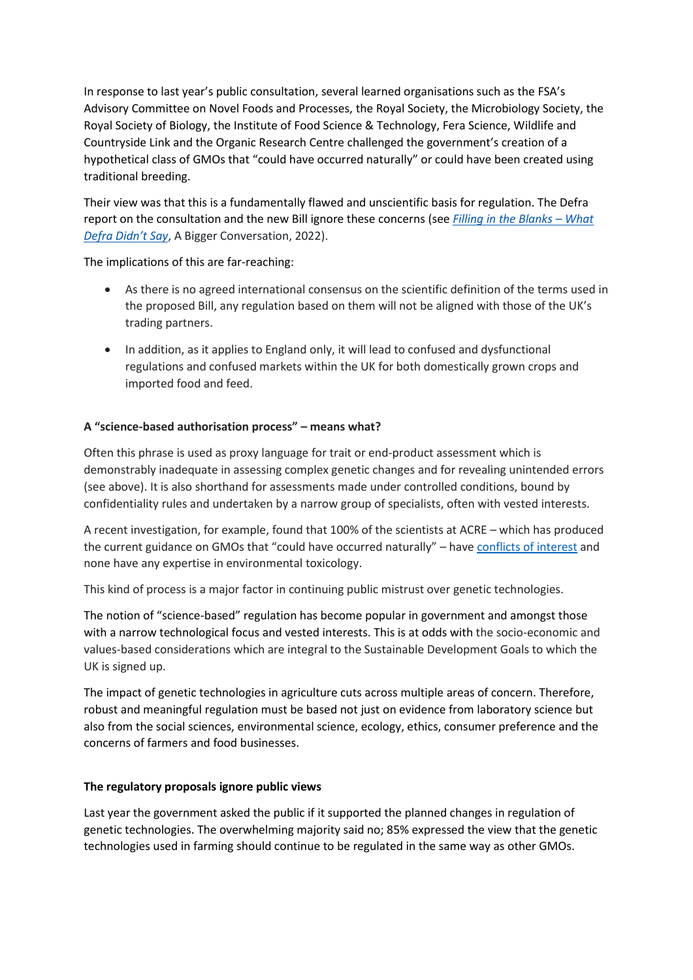In response to last year's public consultation, several learned organisations such as the FSA's Advisory Committee on Novel Foods and Processes, the Royal Society, the Microbiology Society, the Royal Society of Biology, the Institute of Food Science & Technology, Fera Science, Wildlife and Countryside Link and the Organic Research Centre challenged the government's creation of a hypothetical class of GMOs that "could have occurred naturally" or could have been created using traditional breeding.

Their view was that this is a fundamentally flawed and unscientific basis for regulation. The Defra report on the consultation and the new Bill ignore these concerns (see *[Filling in the Blanks](https://abiggerconversation.org/wp-content/uploads/2022/01/Filling-in-the-Blanks_Defra-Consultation_ABC_Jan2022.pdf) – What [Defra Didn't Say](https://abiggerconversation.org/wp-content/uploads/2022/01/Filling-in-the-Blanks_Defra-Consultation_ABC_Jan2022.pdf)*, A Bigger Conversation, 2022).

The implications of this are far-reaching:

- As there is no agreed international consensus on the scientific definition of the terms used in the proposed Bill, any regulation based on them will not be aligned with those of the UK's trading partners.
- In addition, as it applies to England only, it will lead to confused and dysfunctional regulations and confused markets within the UK for both domestically grown crops and imported food and feed.

## **A "science-based authorisation process" – means what?**

Often this phrase is used as proxy language for trait or end-product assessment which is demonstrably inadequate in assessing complex genetic changes and for revealing unintended errors (see above). It is also shorthand for assessments made under controlled conditions, bound by confidentiality rules and undertaken by a narrow group of specialists, often with vested interests.

A recent investigation, for example, found that 100% of the scientists at ACRE – which has produced the current guidance on GMOs that "could have occurred naturally" – have [conflicts of interest](https://www.gmwatch.org/en/106-news/latest-news/19999-100-of-uk-government-s-gmo-advisory-body-have-potential-or-actual-conflicts-of-interest) and none have any expertise in environmental toxicology.

This kind of process is a major factor in continuing public mistrust over genetic technologies.

The notion of "science-based" regulation has become popular in government and amongst those with a narrow technological focus and vested interests. This is at odds with the socio-economic and values-based considerations which are integral to the Sustainable Development Goals to which the UK is signed up.

The impact of genetic technologies in agriculture cuts across multiple areas of concern. Therefore, robust and meaningful regulation must be based not just on evidence from laboratory science but also from the social sciences, environmental science, ecology, ethics, consumer preference and the concerns of farmers and food businesses.

#### **The regulatory proposals ignore public views**

Last year the government asked the public if it supported the planned changes in regulation of genetic technologies. The overwhelming majority said no; 85% expressed the view that the genetic technologies used in farming should continue to be regulated in the same way as other GMOs.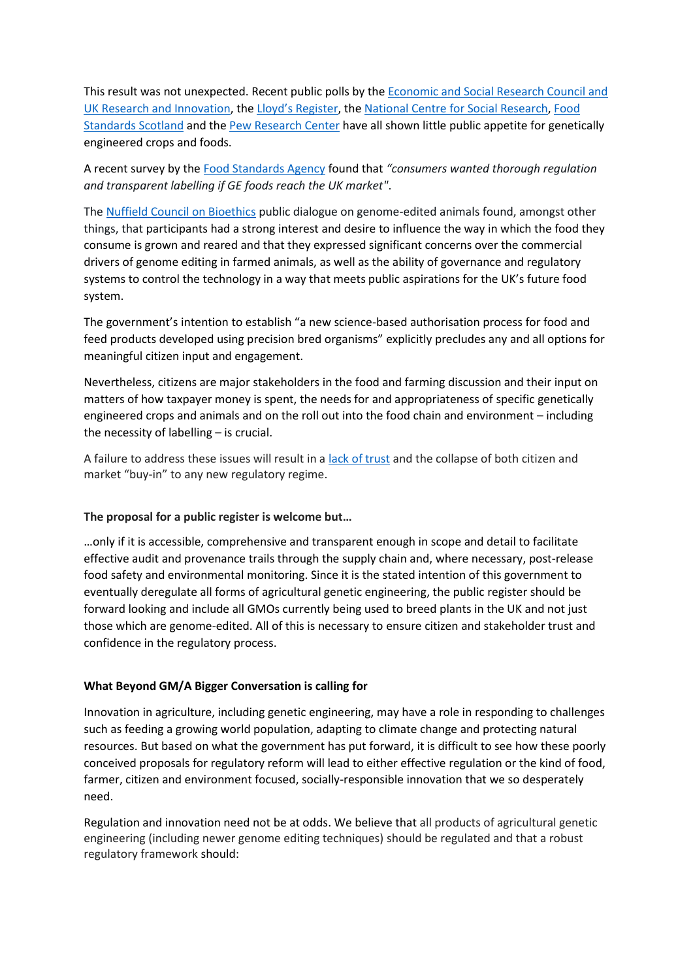This result was not unexpected. Recent public polls by the [Economic and Social Research Council and](https://whatukthinks.org/eu/wp-content/uploads/2020/12/WUKT-EU_Initial-Deliberation-Findings-Paper_v5.pdf)  [UK Research and Innovation,](https://whatukthinks.org/eu/wp-content/uploads/2020/12/WUKT-EU_Initial-Deliberation-Findings-Paper_v5.pdf) the Lloyd'[s Register,](https://wrp.lrfoundation.org.uk/LRF_WorldRiskReport_Book.pdf) the [National Centre for Social](https://natcen.ac.uk/news-media/press-releases/2020/october/after-four-years-of-brexit,-british-social-attitudes-reveals-voters%E2%80%99-hopes-and-fears-for-life-outside-the-eu/) Research, [Food](https://www.foodstandards.gov.scot/publications-and-research/publications/survey-of-food-concerns-in-relation-to-brexit-wave-1)  [Standards Scotland](https://www.foodstandards.gov.scot/publications-and-research/publications/survey-of-food-concerns-in-relation-to-brexit-wave-1) and the [Pew Research Center](https://www.pewresearch.org/science/2020/09/29/science-and-scientists-held-in-high-esteem-across-global-publics/) have all shown little public appetite for genetically engineered crops and foods.

A recent survey by th[e Food Standards Agency](https://www.food.gov.uk/sites/default/files/media/document/consumer-perceptions-of-genome-edited-food.pdf) found that *"consumers wanted thorough regulation and transparent labelling if GE foods reach the UK market"*.

The [Nuffield Council on Bioethics](https://www.nuffieldbioethics.org/publications/genome-editing-and-farmed-animals/public-dialogue-on-genome-editing-and-farmed-animals%20August%202021) public dialogue on genome-edited animals found, amongst other things, that participants had a strong interest and desire to influence the way in which the food they consume is grown and reared and that they expressed significant concerns over the commercial drivers of genome editing in farmed animals, as well as the ability of governance and regulatory systems to control the technology in a way that meets public aspirations for the UK's future food system.

The government's intention to establish "a new science-based authorisation process for food and feed products developed using precision bred organisms" explicitly precludes any and all options for meaningful citizen input and engagement.

Nevertheless, citizens are major stakeholders in the food and farming discussion and their input on matters of how taxpayer money is spent, the needs for and appropriateness of specific genetically engineered crops and animals and on the roll out into the food chain and environment – including the necessity of labelling – is crucial.

A failure to address these issues will result in a [lack of trust](https://www.nature.com/articles/d41586-021-00672-1) and the collapse of both citizen and market "buy-in" to any new regulatory regime.

#### **The proposal for a public register is welcome but…**

…only if it is accessible, comprehensive and transparent enough in scope and detail to facilitate effective audit and provenance trails through the supply chain and, where necessary, post-release food safety and environmental monitoring. Since it is the stated intention of this government to eventually deregulate all forms of agricultural genetic engineering, the public register should be forward looking and include all GMOs currently being used to breed plants in the UK and not just those which are genome-edited. All of this is necessary to ensure citizen and stakeholder trust and confidence in the regulatory process.

#### **What Beyond GM/A Bigger Conversation is calling for**

Innovation in agriculture, including genetic engineering, may have a role in responding to challenges such as feeding a growing world population, adapting to climate change and protecting natural resources. But based on what the government has put forward, it is difficult to see how these poorly conceived proposals for regulatory reform will lead to either effective regulation or the kind of food, farmer, citizen and environment focused, socially-responsible innovation that we so desperately need.

Regulation and innovation need not be at odds. We believe that all products of agricultural genetic engineering (including newer genome editing techniques) should be regulated and that a robust regulatory framework should: